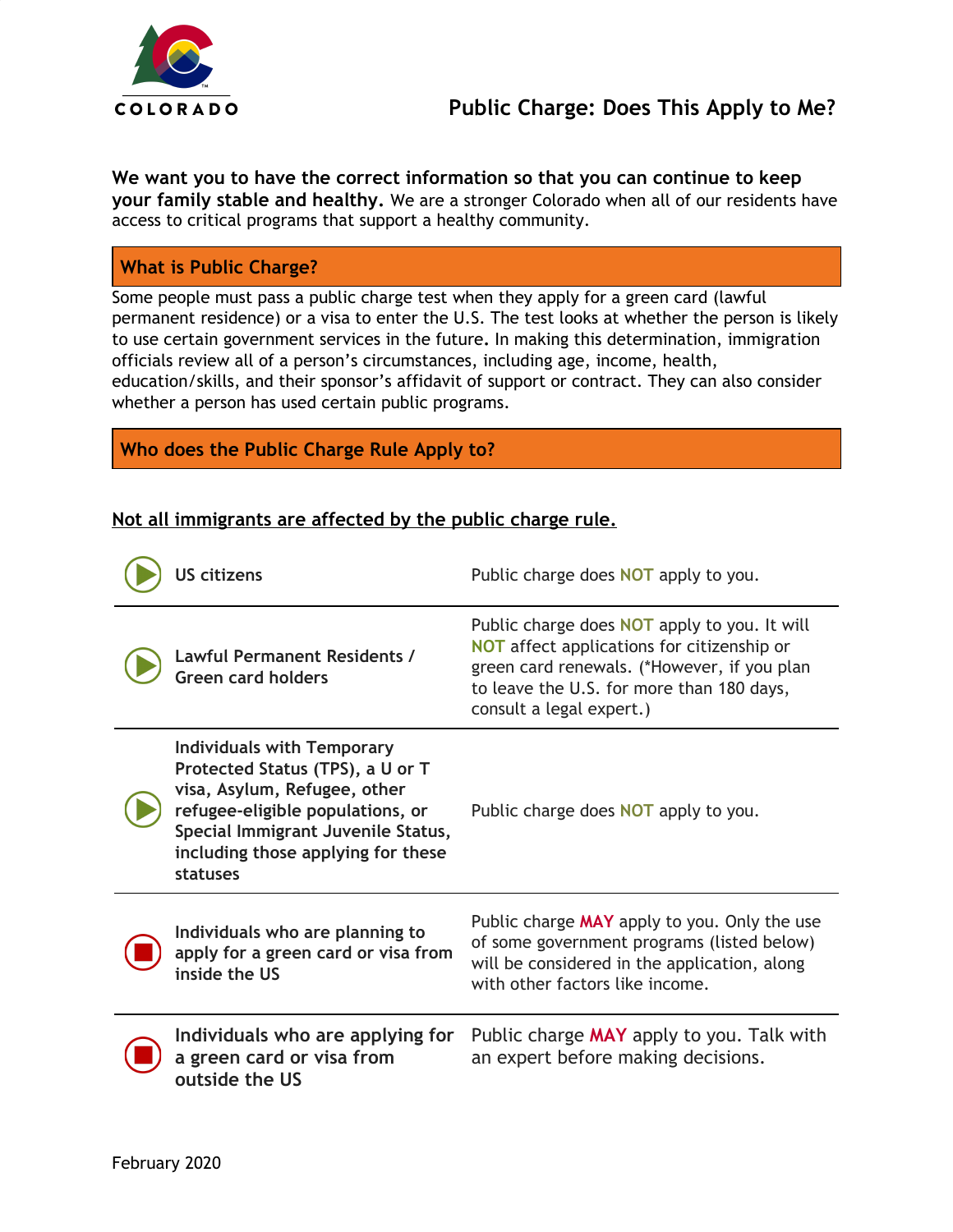

**We want you to have the correct information so that you can continue to keep your family stable and healthy.** We are a stronger Colorado when all of our residents have access to critical programs that support a healthy community.

### **What is Public Charge?**

Some people must pass a public charge test when they apply for a green card (lawful permanent residence) or a visa to enter the U.S. The test looks at whether the person is likely to use certain government services in the future**.** In making this determination, immigration officials review all of a person's circumstances, including age, income, health, education/skills, and their sponsor's affidavit of support or contract. They can also consider whether a person has used certain public programs.

#### **Who does the Public Charge Rule Apply to?**

#### **Not all immigrants are affected by the public charge rule.**

| US citizens                                                                                                                                                                                                                       | Public charge does <b>NOT</b> apply to you.                                                                                                                                                                               |
|-----------------------------------------------------------------------------------------------------------------------------------------------------------------------------------------------------------------------------------|---------------------------------------------------------------------------------------------------------------------------------------------------------------------------------------------------------------------------|
| <b>Lawful Permanent Residents /</b><br><b>Green card holders</b>                                                                                                                                                                  | Public charge does <b>NOT</b> apply to you. It will<br>NOT affect applications for citizenship or<br>green card renewals. (*However, if you plan<br>to leave the U.S. for more than 180 days,<br>consult a legal expert.) |
| <b>Individuals with Temporary</b><br>Protected Status (TPS), a U or T<br>visa, Asylum, Refugee, other<br>refugee-eligible populations, or<br>Special Immigrant Juvenile Status,<br>including those applying for these<br>statuses | Public charge does <b>NOT</b> apply to you.                                                                                                                                                                               |
| Individuals who are planning to<br>apply for a green card or visa from<br>inside the US                                                                                                                                           | Public charge MAY apply to you. Only the use<br>of some government programs (listed below)<br>will be considered in the application, along<br>with other factors like income.                                             |
| Individuals who are applying for<br>a green card or visa from<br>outside the US                                                                                                                                                   | Public charge MAY apply to you. Talk with<br>an expert before making decisions.                                                                                                                                           |